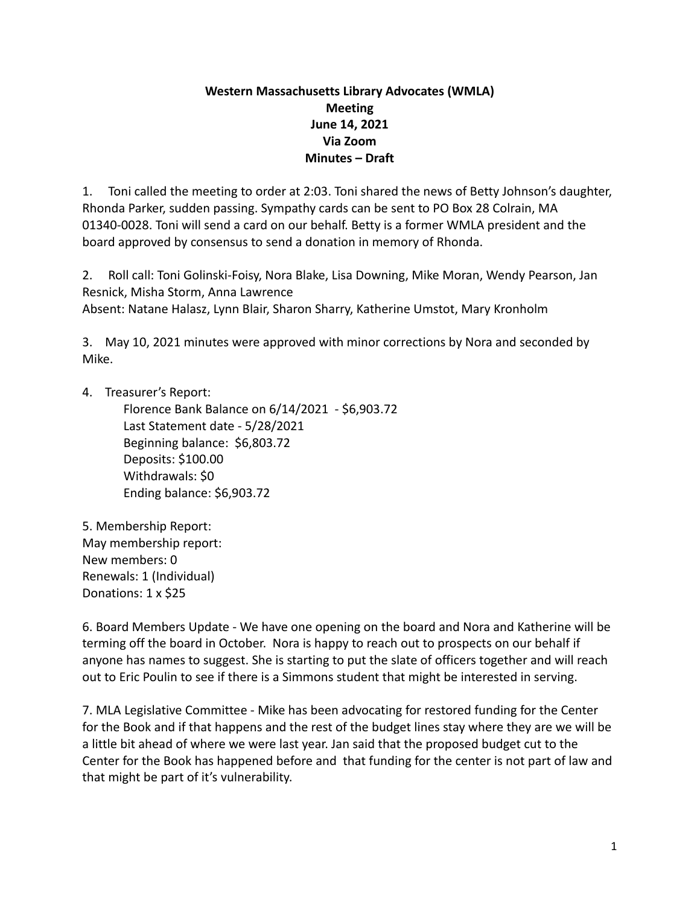## **Western Massachusetts Library Advocates (WMLA) Meeting June 14, 2021 Via Zoom Minutes – Draft**

1. Toni called the meeting to order at 2:03. Toni shared the news of Betty Johnson's daughter, Rhonda Parker, sudden passing. Sympathy cards can be sent to PO Box 28 Colrain, MA 01340-0028. Toni will send a card on our behalf. Betty is a former WMLA president and the board approved by consensus to send a donation in memory of Rhonda.

2. Roll call: Toni Golinski-Foisy, Nora Blake, Lisa Downing, Mike Moran, Wendy Pearson, Jan Resnick, Misha Storm, Anna Lawrence Absent: Natane Halasz, Lynn Blair, Sharon Sharry, Katherine Umstot, Mary Kronholm

3. May 10, 2021 minutes were approved with minor corrections by Nora and seconded by Mike.

4. Treasurer's Report:

Florence Bank Balance on 6/14/2021 - \$6,903.72 Last Statement date - 5/28/2021 Beginning balance: \$6,803.72 Deposits: \$100.00 Withdrawals: \$0 Ending balance: \$6,903.72

5. Membership Report: May membership report: New members: 0 Renewals: 1 (Individual) Donations: 1 x \$25

6. Board Members Update - We have one opening on the board and Nora and Katherine will be terming off the board in October. Nora is happy to reach out to prospects on our behalf if anyone has names to suggest. She is starting to put the slate of officers together and will reach out to Eric Poulin to see if there is a Simmons student that might be interested in serving.

7. MLA Legislative Committee - Mike has been advocating for restored funding for the Center for the Book and if that happens and the rest of the budget lines stay where they are we will be a little bit ahead of where we were last year. Jan said that the proposed budget cut to the Center for the Book has happened before and that funding for the center is not part of law and that might be part of it's vulnerability.